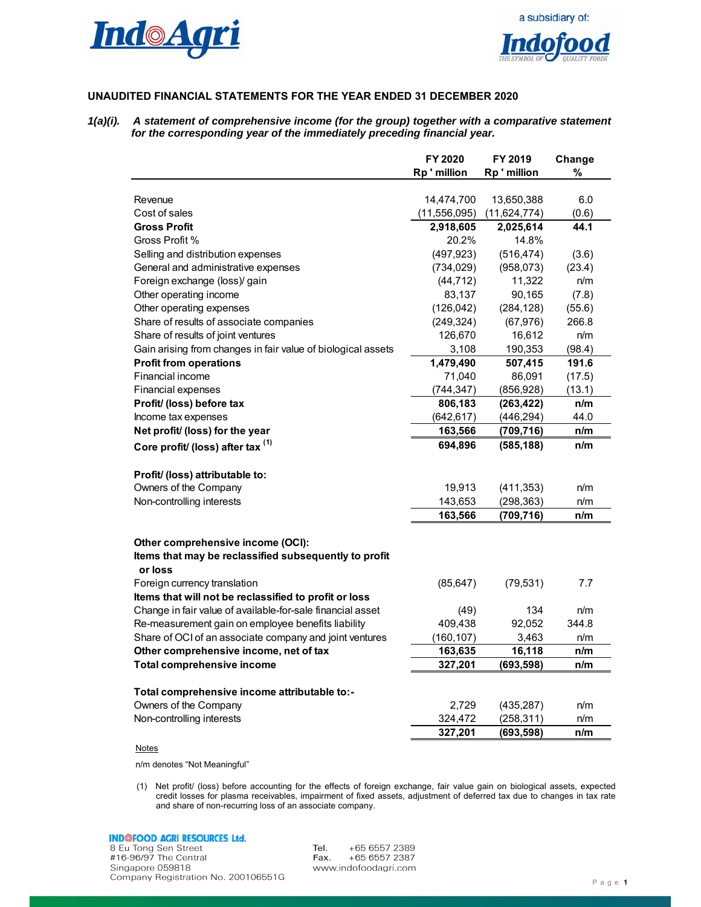



# **UNAUDITED FINANCIAL STATEMENTS FOR THE YEAR ENDED 31 DECEMBER 2020**

*1(a)(i). A statement of comprehensive income (for the group) together with a comparative statement for the corresponding year of the immediately preceding financial year.* 

|                                                              | FY 2020        | FY 2019        | Change |
|--------------------------------------------------------------|----------------|----------------|--------|
|                                                              | Rp ' million   | Rp'million     | %      |
|                                                              |                |                |        |
| Revenue                                                      | 14,474,700     | 13,650,388     | 6.0    |
| Cost of sales                                                | (11, 556, 095) | (11, 624, 774) | (0.6)  |
| <b>Gross Profit</b>                                          | 2,918,605      | 2,025,614      | 44.1   |
| Gross Profit %                                               | 20.2%          | 14.8%          |        |
| Selling and distribution expenses                            | (497, 923)     | (516, 474)     | (3.6)  |
| General and administrative expenses                          | (734, 029)     | (958, 073)     | (23.4) |
| Foreign exchange (loss)/ gain                                | (44, 712)      | 11,322         | n/m    |
| Other operating income                                       | 83,137         | 90,165         | (7.8)  |
| Other operating expenses                                     | (126, 042)     | (284, 128)     | (55.6) |
| Share of results of associate companies                      | (249, 324)     | (67, 976)      | 266.8  |
| Share of results of joint ventures                           | 126,670        | 16,612         | n/m    |
| Gain arising from changes in fair value of biological assets | 3,108          | 190,353        | (98.4) |
| <b>Profit from operations</b>                                | 1,479,490      | 507,415        | 191.6  |
| Financial income                                             | 71,040         | 86,091         | (17.5) |
| Financial expenses                                           | (744, 347)     | (856, 928)     | (13.1) |
| Profit/ (loss) before tax                                    | 806,183        | (263, 422)     | n/m    |
| Income tax expenses                                          | (642, 617)     | (446, 294)     | 44.0   |
| Net profit/ (loss) for the year                              | 163,566        | (709, 716)     | n/m    |
| Core profit/ (loss) after tax (1)                            | 694,896        | (585, 188)     | n/m    |
| Profit/ (loss) attributable to:                              |                |                |        |
| Owners of the Company                                        | 19,913         | (411, 353)     | n/m    |
| Non-controlling interests                                    | 143,653        | (298, 363)     | n/m    |
|                                                              | 163,566        | (709, 716)     | n/m    |
| Other comprehensive income (OCI):                            |                |                |        |
| Items that may be reclassified subsequently to profit        |                |                |        |
| or loss                                                      |                |                |        |
| Foreign currency translation                                 | (85, 647)      | (79, 531)      | 7.7    |
| Items that will not be reclassified to profit or loss        |                |                |        |
| Change in fair value of available-for-sale financial asset   | (49)           | 134            | n/m    |
| Re-measurement gain on employee benefits liability           | 409,438        | 92,052         | 344.8  |
| Share of OCI of an associate company and joint ventures      | (160, 107)     | 3,463          | n/m    |
| Other comprehensive income, net of tax                       | 163,635        | 16,118         | n/m    |
| Total comprehensive income                                   | 327,201        | (693, 598)     | n/m    |
| Total comprehensive income attributable to:-                 |                |                |        |
| Owners of the Company                                        | 2,729          | (435, 287)     | n/m    |
| Non-controlling interests                                    | 324,472        | (258, 311)     | n/m    |
|                                                              | 327,201        | (693, 598)     | n/m    |
| Notes                                                        |                |                |        |

n/m denotes "Not Meaningful"

(1) Net profit/ (loss) before accounting for the effects of foreign exchange, fair value gain on biological assets, expected credit losses for plasma receivables, impairment of fixed assets, adjustment of deferred tax due to changes in tax rate and share of non-recurring loss of an associate company.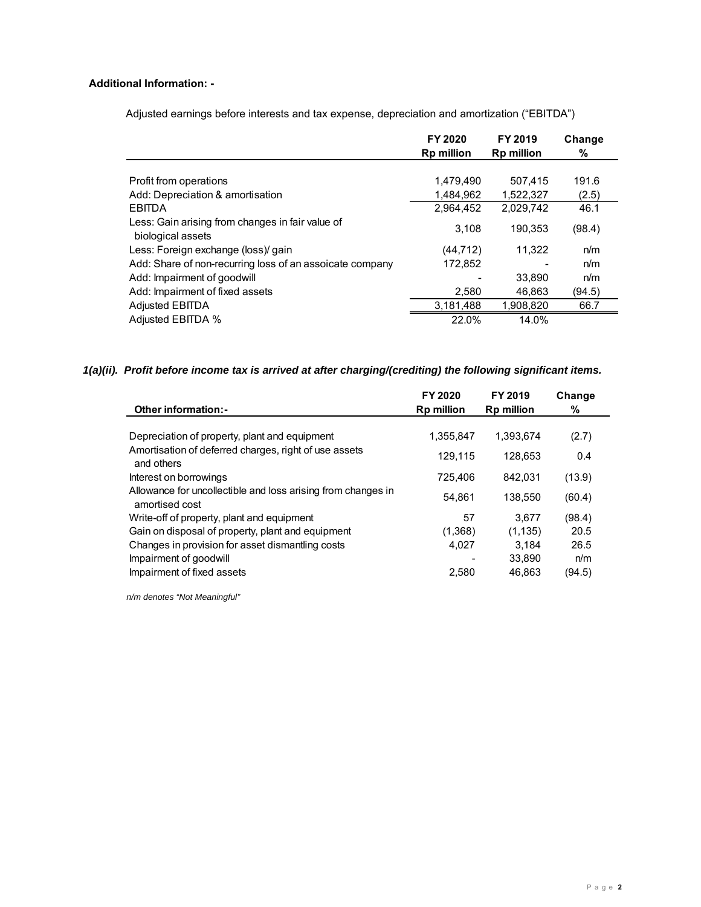# **Additional Information: -**

Adjusted earnings before interests and tax expense, depreciation and amortization ("EBITDA")

|                                                                       | FY 2020<br><b>Rp million</b> | FY 2019<br><b>Rp million</b> | Change<br>% |
|-----------------------------------------------------------------------|------------------------------|------------------------------|-------------|
|                                                                       |                              |                              |             |
| Profit from operations                                                | 1,479,490                    | 507.415                      | 191.6       |
| Add: Depreciation & amortisation                                      | 1,484,962                    | 1,522,327                    | (2.5)       |
| <b>EBITDA</b>                                                         | 2,964,452                    | 2,029,742                    | 46.1        |
| Less: Gain arising from changes in fair value of<br>biological assets | 3.108                        | 190.353                      | (98.4)      |
| Less: Foreign exchange (loss)/ gain                                   | (44, 712)                    | 11.322                       | n/m         |
| Add: Share of non-recurring loss of an assoicate company              | 172,852                      |                              | n/m         |
| Add: Impairment of goodwill                                           |                              | 33,890                       | n/m         |
| Add: Impairment of fixed assets                                       | 2,580                        | 46.863                       | (94.5)      |
| Adjusted EBITDA                                                       | 3,181,488                    | 1,908,820                    | 66.7        |
| Adjusted EBITDA %                                                     | 22.0%                        | 14.0%                        |             |

# *1(a)(ii). Profit before income tax is arrived at after charging/(crediting) the following significant items.*

| <b>Other information:-</b>                                                                                        | FY 2020<br><b>Rp million</b> | FY 2019<br><b>Rp million</b> | Change<br>%           |  |
|-------------------------------------------------------------------------------------------------------------------|------------------------------|------------------------------|-----------------------|--|
| Depreciation of property, plant and equipment<br>Amortisation of deferred charges, right of use assets            | 1,355,847<br>129,115         | 1,393,674<br>128,653         | (2.7)<br>0.4          |  |
| and others<br>Interest on borrowings<br>Allowance for uncollectible and loss arising from changes in              | 725.406<br>54.861            | 842.031<br>138.550           | (13.9)<br>(60.4)      |  |
| amortised cost<br>Write-off of property, plant and equipment<br>Gain on disposal of property, plant and equipment | 57<br>(1,368)                | 3.677<br>(1, 135)            | (98.4)<br>20.5        |  |
| Changes in provision for asset dismantling costs<br>Impairment of goodwill<br>Impairment of fixed assets          | 4.027<br>2.580               | 3.184<br>33.890<br>46.863    | 26.5<br>n/m<br>(94.5) |  |

 *n/m denotes "Not Meaningful"*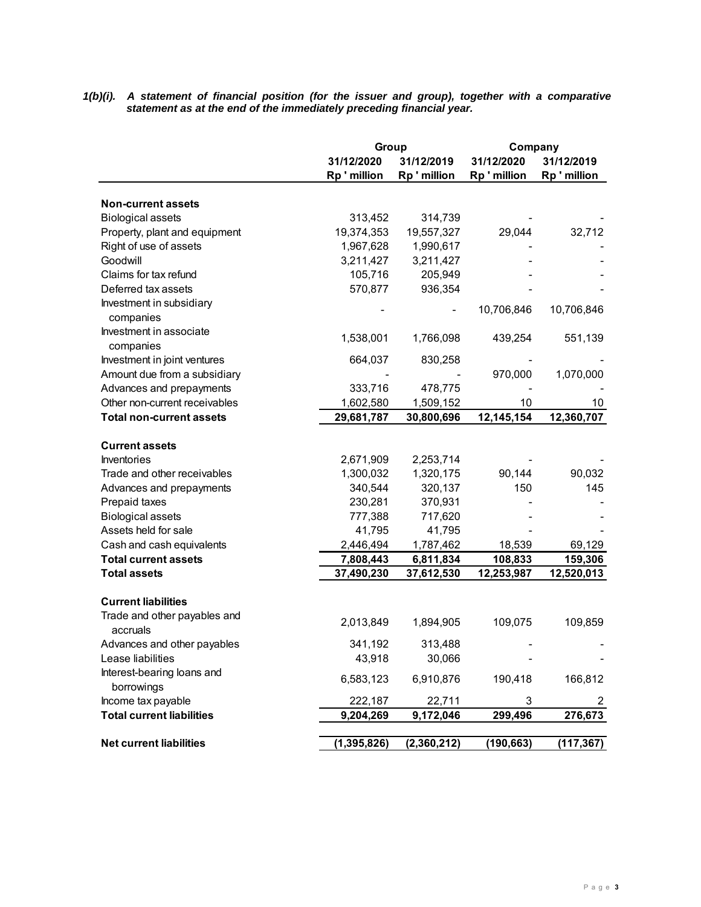*1(b)(i). A statement of financial position (for the issuer and group), together with a comparative statement as at the end of the immediately preceding financial year.* 

|                                          | Group         |              | Company      |            |
|------------------------------------------|---------------|--------------|--------------|------------|
|                                          | 31/12/2020    | 31/12/2019   | 31/12/2020   | 31/12/2019 |
|                                          | Rp ' million  | Rp ' million | Rp ' million | Rp'million |
|                                          |               |              |              |            |
| <b>Non-current assets</b>                |               |              |              |            |
| <b>Biological assets</b>                 | 313,452       | 314,739      |              |            |
| Property, plant and equipment            | 19,374,353    | 19,557,327   | 29,044       | 32,712     |
| Right of use of assets                   | 1,967,628     | 1,990,617    |              |            |
| Goodwill                                 | 3,211,427     | 3,211,427    |              |            |
| Claims for tax refund                    | 105,716       | 205,949      |              |            |
| Deferred tax assets                      | 570,877       | 936,354      |              |            |
| Investment in subsidiary<br>companies    |               |              | 10,706,846   | 10,706,846 |
| Investment in associate<br>companies     | 1,538,001     | 1,766,098    | 439,254      | 551,139    |
| Investment in joint ventures             | 664,037       | 830,258      |              |            |
| Amount due from a subsidiary             |               |              | 970,000      | 1,070,000  |
| Advances and prepayments                 | 333,716       | 478,775      |              |            |
| Other non-current receivables            | 1,602,580     | 1,509,152    | 10           | 10         |
| <b>Total non-current assets</b>          | 29,681,787    | 30,800,696   | 12,145,154   | 12,360,707 |
|                                          |               |              |              |            |
| <b>Current assets</b>                    |               |              |              |            |
| Inventories                              | 2,671,909     | 2,253,714    |              |            |
| Trade and other receivables              | 1,300,032     | 1,320,175    | 90,144       | 90,032     |
| Advances and prepayments                 | 340,544       | 320,137      | 150          | 145        |
| Prepaid taxes                            | 230,281       | 370,931      |              |            |
| <b>Biological assets</b>                 | 777,388       | 717,620      |              |            |
| Assets held for sale                     | 41,795        | 41,795       |              |            |
| Cash and cash equivalents                | 2,446,494     | 1,787,462    | 18,539       | 69,129     |
| <b>Total current assets</b>              | 7,808,443     | 6,811,834    | 108,833      | 159,306    |
| <b>Total assets</b>                      | 37,490,230    | 37,612,530   | 12,253,987   | 12,520,013 |
|                                          |               |              |              |            |
| <b>Current liabilities</b>               |               |              |              |            |
| Trade and other payables and<br>accruals | 2,013,849     | 1,894,905    | 109,075      | 109,859    |
| Advances and other payables              | 341,192       | 313,488      |              |            |
| Lease liabilities                        | 43,918        | 30,066       |              |            |
| Interest-bearing loans and               |               |              |              |            |
| borrowings                               | 6,583,123     | 6,910,876    | 190,418      | 166,812    |
| Income tax payable                       | 222,187       | 22,711       | 3            | 2          |
| <b>Total current liabilities</b>         | 9,204,269     | 9,172,046    | 299,496      | 276,673    |
|                                          |               |              |              |            |
| <b>Net current liabilities</b>           | (1, 395, 826) | (2,360,212)  | (190,663)    | (117,367)  |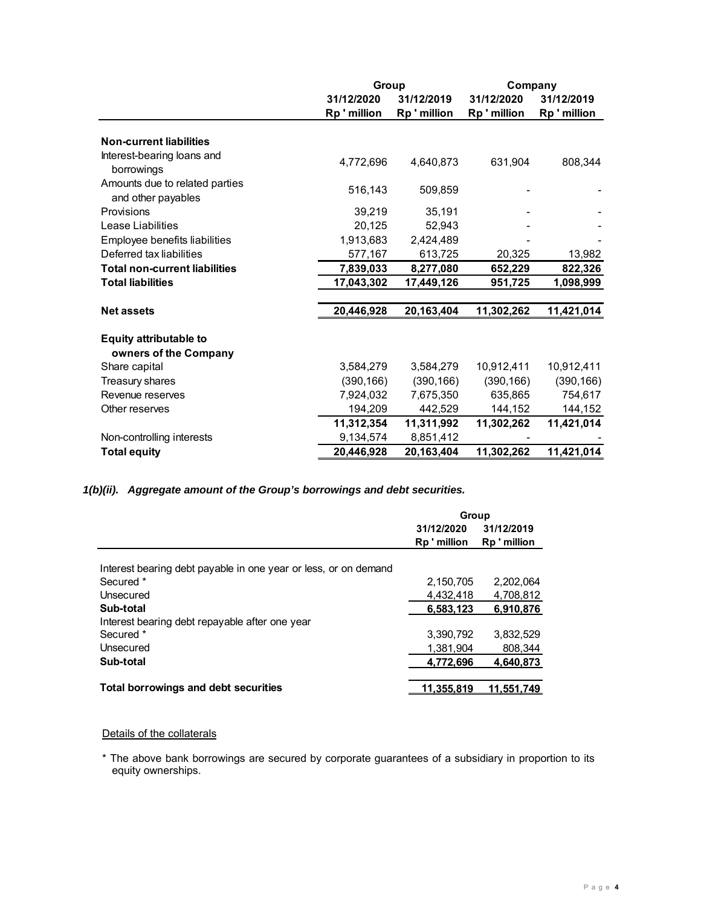|                                                        |            | Group      |            | Company    |  |
|--------------------------------------------------------|------------|------------|------------|------------|--|
|                                                        | 31/12/2020 | 31/12/2019 | 31/12/2020 | 31/12/2019 |  |
|                                                        | Rp'million | Rp'million | Rp'million | Rp'million |  |
| <b>Non-current liabilities</b>                         |            |            |            |            |  |
| Interest-bearing loans and<br>borrowings               | 4,772,696  | 4,640,873  | 631,904    | 808,344    |  |
| Amounts due to related parties<br>and other payables   | 516,143    | 509,859    |            |            |  |
| Provisions                                             | 39,219     | 35,191     |            |            |  |
| Lease Liabilities                                      | 20,125     | 52,943     |            |            |  |
| Employee benefits liabilities                          | 1,913,683  | 2,424,489  |            |            |  |
| Deferred tax liabilities                               | 577,167    | 613,725    | 20,325     | 13,982     |  |
| <b>Total non-current liabilities</b>                   | 7,839,033  | 8,277,080  | 652,229    | 822,326    |  |
| <b>Total liabilities</b>                               | 17,043,302 | 17,449,126 | 951,725    | 1,098,999  |  |
| <b>Net assets</b>                                      | 20,446,928 | 20,163,404 | 11,302,262 | 11,421,014 |  |
| <b>Equity attributable to</b><br>owners of the Company |            |            |            |            |  |
| Share capital                                          | 3,584,279  | 3,584,279  | 10,912,411 | 10,912,411 |  |
| Treasury shares                                        | (390, 166) | (390, 166) | (390, 166) | (390, 166) |  |
| Revenue reserves                                       | 7,924,032  | 7,675,350  | 635,865    | 754,617    |  |
| Other reserves                                         | 194,209    | 442,529    | 144,152    | 144,152    |  |
|                                                        | 11,312,354 | 11,311,992 | 11,302,262 | 11,421,014 |  |
| Non-controlling interests                              | 9,134,574  | 8,851,412  |            |            |  |
| <b>Total equity</b>                                    | 20.446.928 | 20,163,404 | 11.302.262 | 11,421,014 |  |

*1(b)(ii). Aggregate amount of the Group's borrowings and debt securities.* 

|                                                                 | Group      |              |
|-----------------------------------------------------------------|------------|--------------|
|                                                                 | 31/12/2020 | 31/12/2019   |
|                                                                 | Rp'million | Rp ' million |
|                                                                 |            |              |
| Interest bearing debt payable in one year or less, or on demand |            |              |
| Secured *                                                       | 2,150,705  | 2,202,064    |
| Unsecured                                                       | 4.432.418  | 4,708,812    |
| Sub-total                                                       | 6.583.123  | 6,910,876    |
| Interest bearing debt repayable after one year                  |            |              |
| Secured *                                                       | 3.390.792  | 3.832.529    |
| Unsecured                                                       | 1.381.904  | 808.344      |
| Sub-total                                                       | 4.772.696  | 4,640,873    |
|                                                                 |            |              |
| <b>Total borrowings and debt securities</b>                     | 11.355.819 | 11.551.749   |

# Details of the collaterals

\* The above bank borrowings are secured by corporate guarantees of a subsidiary in proportion to its equity ownerships.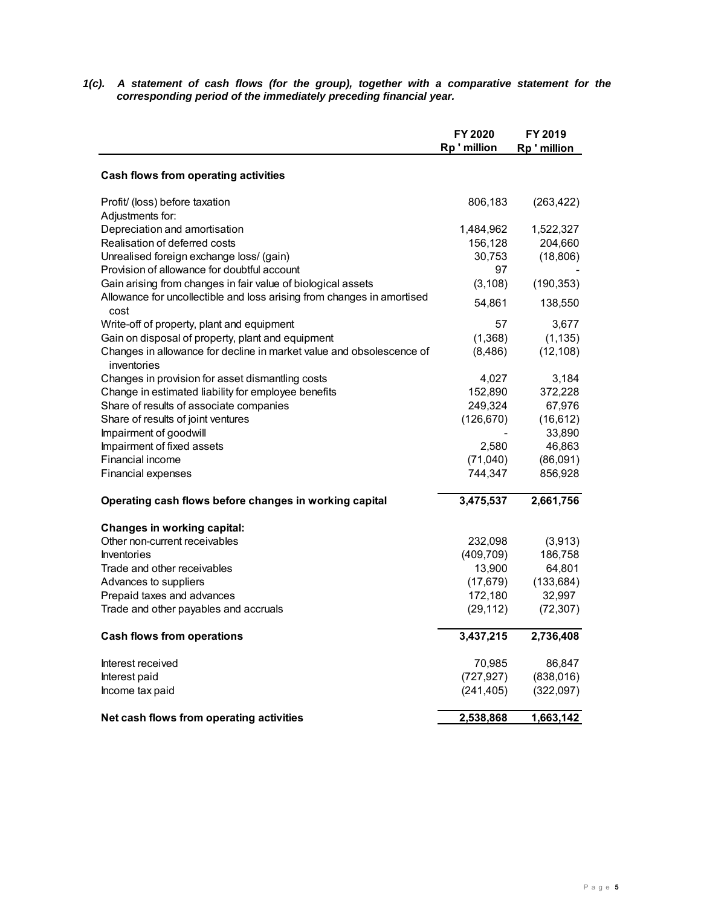*1(c). A statement of cash flows (for the group), together with a comparative statement for the corresponding period of the immediately preceding financial year.* 

|                                                                                     | FY 2020    | FY 2019      |
|-------------------------------------------------------------------------------------|------------|--------------|
|                                                                                     | Rp'million | Rp ' million |
| Cash flows from operating activities                                                |            |              |
| Profit/ (loss) before taxation                                                      | 806,183    | (263, 422)   |
| Adjustments for:                                                                    |            |              |
| Depreciation and amortisation                                                       | 1,484,962  | 1,522,327    |
| Realisation of deferred costs                                                       | 156,128    | 204,660      |
| Unrealised foreign exchange loss/ (gain)                                            | 30,753     | (18, 806)    |
| Provision of allowance for doubtful account                                         | 97         |              |
| Gain arising from changes in fair value of biological assets                        | (3, 108)   | (190, 353)   |
| Allowance for uncollectible and loss arising from changes in amortised<br>cost      | 54,861     | 138,550      |
| Write-off of property, plant and equipment                                          | 57         | 3,677        |
| Gain on disposal of property, plant and equipment                                   | (1,368)    | (1, 135)     |
| Changes in allowance for decline in market value and obsolescence of<br>inventories | (8,486)    | (12, 108)    |
| Changes in provision for asset dismantling costs                                    | 4,027      | 3,184        |
| Change in estimated liability for employee benefits                                 | 152,890    | 372,228      |
| Share of results of associate companies                                             | 249,324    | 67,976       |
| Share of results of joint ventures                                                  | (126, 670) | (16, 612)    |
| Impairment of goodwill                                                              |            | 33,890       |
| Impairment of fixed assets                                                          | 2,580      | 46,863       |
| Financial income                                                                    | (71,040)   | (86,091)     |
| Financial expenses                                                                  | 744,347    | 856,928      |
| Operating cash flows before changes in working capital                              | 3,475,537  | 2,661,756    |
| <b>Changes in working capital:</b>                                                  |            |              |
| Other non-current receivables                                                       | 232,098    | (3,913)      |
| <b>Inventories</b>                                                                  | (409, 709) | 186,758      |
| Trade and other receivables                                                         | 13,900     | 64,801       |
| Advances to suppliers                                                               | (17, 679)  | (133, 684)   |
| Prepaid taxes and advances                                                          | 172,180    | 32,997       |
| Trade and other payables and accruals                                               | (29, 112)  | (72, 307)    |
| <b>Cash flows from operations</b>                                                   | 3,437,215  | 2,736,408    |
| Interest received                                                                   | 70,985     | 86,847       |
| Interest paid                                                                       | (727, 927) | (838, 016)   |
| Income tax paid                                                                     | (241, 405) | (322,097)    |
| Net cash flows from operating activities                                            | 2,538,868  | 1,663,142    |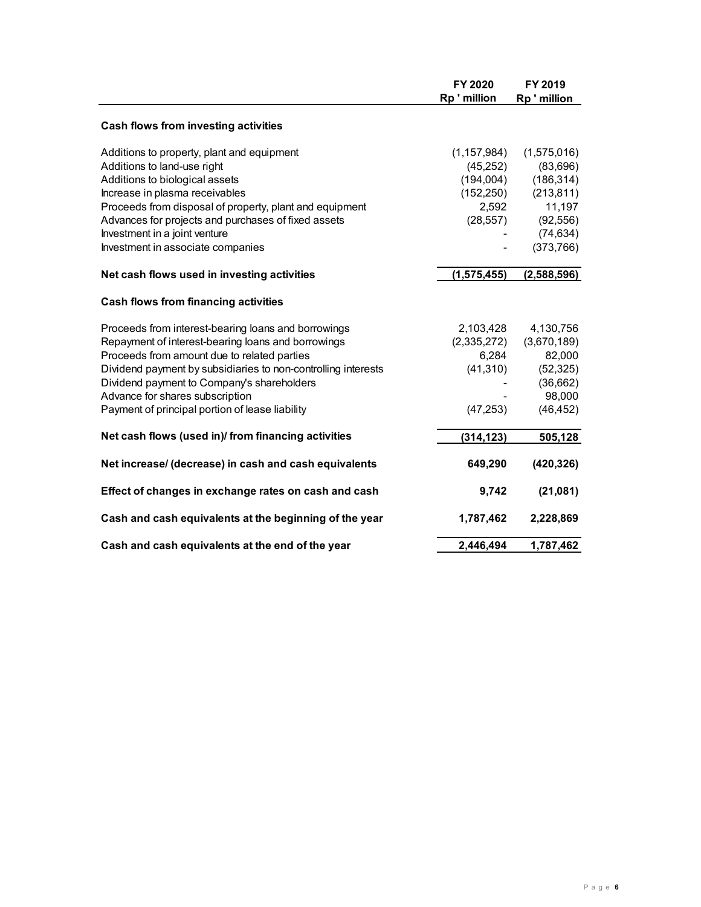|                                                               | FY 2020<br>Rp'million | FY 2019<br>Rp'million |
|---------------------------------------------------------------|-----------------------|-----------------------|
|                                                               |                       |                       |
| Cash flows from investing activities                          |                       |                       |
| Additions to property, plant and equipment                    | (1, 157, 984)         | (1,575,016)           |
| Additions to land-use right                                   | (45, 252)             | (83,696)              |
| Additions to biological assets                                | (194,004)             | (186, 314)            |
| Increase in plasma receivables                                | (152, 250)            | (213, 811)            |
| Proceeds from disposal of property, plant and equipment       | 2,592                 | 11,197                |
| Advances for projects and purchases of fixed assets           | (28, 557)             | (92, 556)             |
| Investment in a joint venture                                 |                       | (74, 634)             |
| Investment in associate companies                             |                       | (373,766)             |
| Net cash flows used in investing activities                   | (1, 575, 455)         | (2,588,596)           |
| Cash flows from financing activities                          |                       |                       |
| Proceeds from interest-bearing loans and borrowings           | 2,103,428             | 4,130,756             |
| Repayment of interest-bearing loans and borrowings            | (2,335,272)           | (3,670,189)           |
| Proceeds from amount due to related parties                   | 6,284                 | 82,000                |
| Dividend payment by subsidiaries to non-controlling interests | (41, 310)             | (52, 325)             |
| Dividend payment to Company's shareholders                    |                       | (36,662)              |
| Advance for shares subscription                               |                       | 98,000                |
| Payment of principal portion of lease liability               | (47, 253)             | (46, 452)             |
| Net cash flows (used in)/ from financing activities           | (314, 123)            | 505,128               |
| Net increase/ (decrease) in cash and cash equivalents         | 649,290               | (420, 326)            |
|                                                               |                       |                       |
| Effect of changes in exchange rates on cash and cash          | 9,742                 | (21,081)              |
| Cash and cash equivalents at the beginning of the year        | 1,787,462             | 2,228,869             |
| Cash and cash equivalents at the end of the year              | 2,446,494             | 1,787,462             |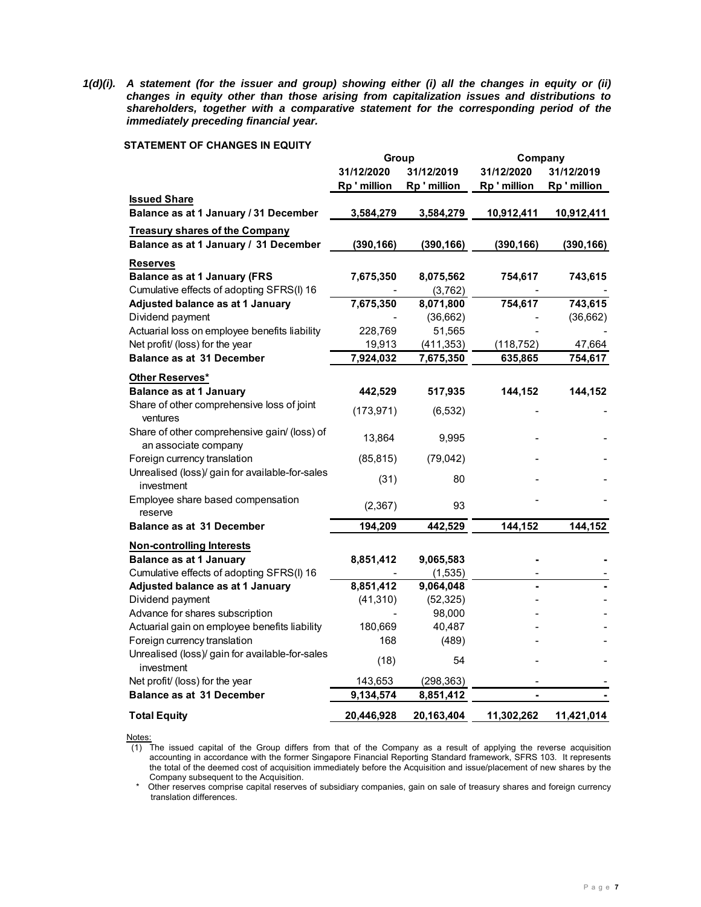*1(d)(i). A statement (for the issuer and group) showing either (i) all the changes in equity or (ii) changes in equity other than those arising from capitalization issues and distributions to shareholders, together with a comparative statement for the corresponding period of the immediately preceding financial year.* 

### **STATEMENT OF CHANGES IN EQUITY**

|                                                                      | Group      |              | Company      |            |
|----------------------------------------------------------------------|------------|--------------|--------------|------------|
|                                                                      | 31/12/2020 | 31/12/2019   | 31/12/2020   | 31/12/2019 |
|                                                                      | Rp'million | Rp ' million | Rp ' million | Rp'million |
| <b>Issued Share</b>                                                  |            |              |              |            |
| Balance as at 1 January / 31 December                                | 3,584,279  | 3,584,279    | 10,912,411   | 10,912,411 |
| <b>Treasury shares of the Company</b>                                |            |              |              |            |
| Balance as at 1 January / 31 December                                | (390, 166) | (390, 166)   | (390, 166)   | (390, 166) |
| <b>Reserves</b>                                                      |            |              |              |            |
| <b>Balance as at 1 January (FRS</b>                                  | 7,675,350  | 8,075,562    | 754,617      | 743,615    |
| Cumulative effects of adopting SFRS(I) 16                            |            | (3,762)      |              |            |
| Adjusted balance as at 1 January                                     | 7,675,350  | 8,071,800    | 754,617      | 743,615    |
| Dividend payment                                                     |            | (36,662)     |              | (36, 662)  |
| Actuarial loss on employee benefits liability                        | 228,769    | 51,565       |              |            |
| Net profit/ (loss) for the year                                      | 19,913     | (411, 353)   | (118, 752)   | 47,664     |
| <b>Balance as at 31 December</b>                                     | 7,924,032  | 7,675,350    | 635,865      | 754,617    |
| Other Reserves*                                                      |            |              |              |            |
| <b>Balance as at 1 January</b>                                       | 442,529    | 517,935      | 144,152      | 144,152    |
| Share of other comprehensive loss of joint<br>ventures               | (173, 971) | (6, 532)     |              |            |
| Share of other comprehensive gain/ (loss) of<br>an associate company | 13,864     | 9,995        |              |            |
| Foreign currency translation                                         | (85, 815)  | (79, 042)    |              |            |
| Unrealised (loss)/ gain for available-for-sales<br>investment        | (31)       | 80           |              |            |
| Employee share based compensation<br>reserve                         | (2, 367)   | 93           |              |            |
| <b>Balance as at 31 December</b>                                     | 194,209    | 442,529      | 144,152      | 144,152    |
| <b>Non-controlling Interests</b>                                     |            |              |              |            |
| <b>Balance as at 1 January</b>                                       | 8,851,412  | 9,065,583    |              |            |
| Cumulative effects of adopting SFRS(I) 16                            |            | (1, 535)     |              |            |
| Adjusted balance as at 1 January                                     | 8,851,412  | 9,064,048    |              |            |
| Dividend payment                                                     | (41, 310)  | (52, 325)    |              |            |
| Advance for shares subscription                                      |            | 98,000       |              |            |
| Actuarial gain on employee benefits liability                        | 180,669    | 40,487       |              |            |
| Foreign currency translation                                         | 168        | (489)        |              |            |
| Unrealised (loss)/ gain for available-for-sales<br>investment        | (18)       | 54           |              |            |
| Net profit/ (loss) for the year                                      | 143,653    | (298, 363)   |              |            |
| <b>Balance as at 31 December</b>                                     | 9,134,574  | 8,851,412    |              |            |
| <b>Total Equity</b>                                                  | 20,446,928 | 20,163,404   | 11,302,262   | 11,421,014 |

Notes:

(1) The issued capital of the Group differs from that of the Company as a result of applying the reverse acquisition accounting in accordance with the former Singapore Financial Reporting Standard framework, SFRS 103. It represents the total of the deemed cost of acquisition immediately before the Acquisition and issue/placement of new shares by the Company subsequent to the Acquisition.

 \* Other reserves comprise capital reserves of subsidiary companies, gain on sale of treasury shares and foreign currency translation differences.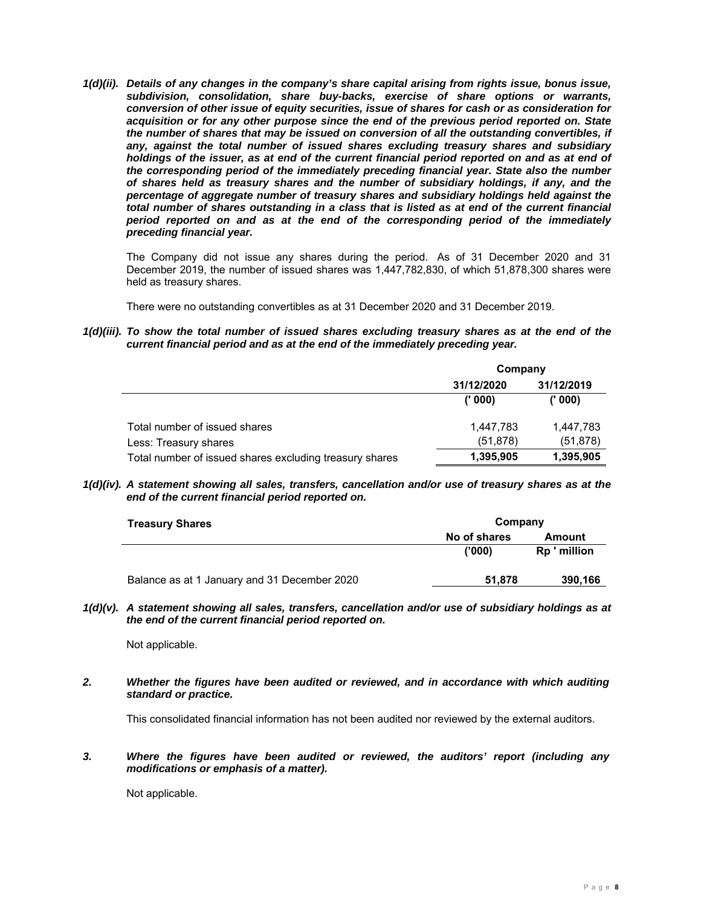*1(d)(ii). Details of any changes in the company's share capital arising from rights issue, bonus issue, subdivision, consolidation, share buy-backs, exercise of share options or warrants, conversion of other issue of equity securities, issue of shares for cash or as consideration for acquisition or for any other purpose since the end of the previous period reported on. State the number of shares that may be issued on conversion of all the outstanding convertibles, if any, against the total number of issued shares excluding treasury shares and subsidiary*  holdings of the issuer, as at end of the current financial period reported on and as at end of *the corresponding period of the immediately preceding financial year. State also the number of shares held as treasury shares and the number of subsidiary holdings, if any, and the percentage of aggregate number of treasury shares and subsidiary holdings held against the total number of shares outstanding in a class that is listed as at end of the current financial period reported on and as at the end of the corresponding period of the immediately preceding financial year.* 

The Company did not issue any shares during the period. As of 31 December 2020 and 31 December 2019, the number of issued shares was 1,447,782,830, of which 51,878,300 shares were held as treasury shares.

There were no outstanding convertibles as at 31 December 2020 and 31 December 2019.

*1(d)(iii). To show the total number of issued shares excluding treasury shares as at the end of the current financial period and as at the end of the immediately preceding year.* 

|                                                         | Company    |            |  |
|---------------------------------------------------------|------------|------------|--|
|                                                         | 31/12/2020 | 31/12/2019 |  |
|                                                         | (1000)     | (1000)     |  |
| Total number of issued shares                           | 1,447,783  | 1,447,783  |  |
| Less: Treasury shares                                   | (51, 878)  | (51, 878)  |  |
| Total number of issued shares excluding treasury shares | 1,395,905  | 1,395,905  |  |

*1(d)(iv). A statement showing all sales, transfers, cancellation and/or use of treasury shares as at the end of the current financial period reported on.* 

| <b>Treasury Shares</b>                       |              | Company      |  |  |
|----------------------------------------------|--------------|--------------|--|--|
|                                              | No of shares | Amount       |  |  |
|                                              | ('000)       | Rp ' million |  |  |
| Balance as at 1 January and 31 December 2020 | 51,878       | 390,166      |  |  |

*1(d)(v). A statement showing all sales, transfers, cancellation and/or use of subsidiary holdings as at the end of the current financial period reported on.* 

Not applicable.

*2. Whether the figures have been audited or reviewed, and in accordance with which auditing standard or practice.* 

This consolidated financial information has not been audited nor reviewed by the external auditors.

*3. Where the figures have been audited or reviewed, the auditors' report (including any modifications or emphasis of a matter).* 

Not applicable.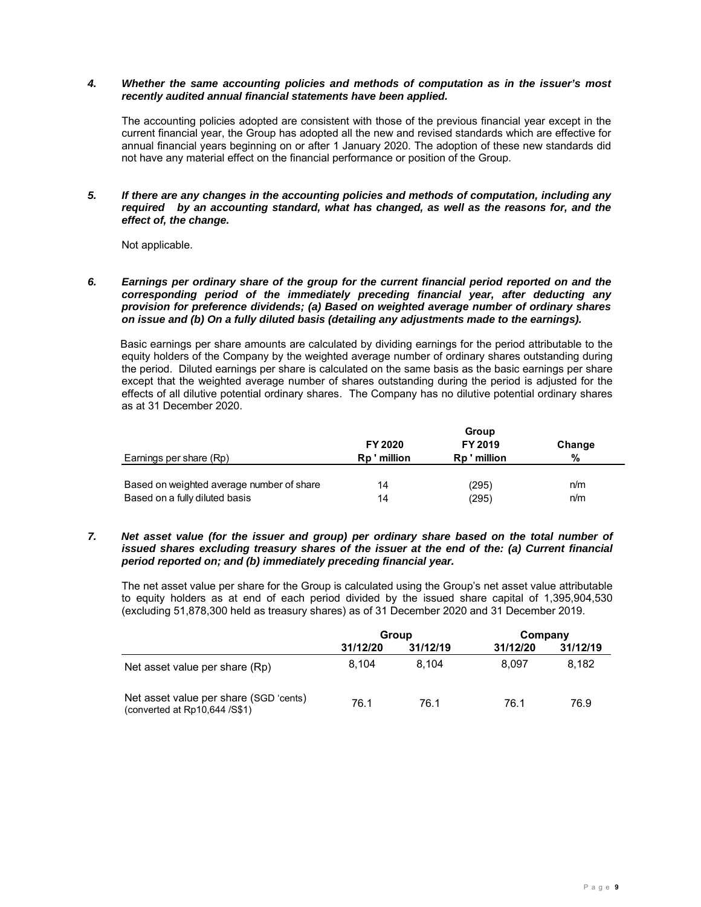#### *4. Whether the same accounting policies and methods of computation as in the issuer's most recently audited annual financial statements have been applied.*

The accounting policies adopted are consistent with those of the previous financial year except in the current financial year, the Group has adopted all the new and revised standards which are effective for annual financial years beginning on or after 1 January 2020. The adoption of these new standards did not have any material effect on the financial performance or position of the Group.

*5. If there are any changes in the accounting policies and methods of computation, including any required by an accounting standard, what has changed, as well as the reasons for, and the effect of, the change.* 

Not applicable.

#### *6. Earnings per ordinary share of the group for the current financial period reported on and the corresponding period of the immediately preceding financial year, after deducting any provision for preference dividends; (a) Based on weighted average number of ordinary shares on issue and (b) On a fully diluted basis (detailing any adjustments made to the earnings).*

 Basic earnings per share amounts are calculated by dividing earnings for the period attributable to the equity holders of the Company by the weighted average number of ordinary shares outstanding during the period. Diluted earnings per share is calculated on the same basis as the basic earnings per share except that the weighted average number of shares outstanding during the period is adjusted for the effects of all dilutive potential ordinary shares. The Company has no dilutive potential ordinary shares as at 31 December 2020.

|                                           | FY 2020      | FY 2019    | Change |
|-------------------------------------------|--------------|------------|--------|
| Earnings per share (Rp)                   | Rp ' million | Rp'million | %      |
|                                           |              |            |        |
| Based on weighted average number of share | 14           | (295)      | n/m    |
| Based on a fully diluted basis            | 14           | (295)      | n/m    |

### *7. Net asset value (for the issuer and group) per ordinary share based on the total number of issued shares excluding treasury shares of the issuer at the end of the: (a) Current financial period reported on; and (b) immediately preceding financial year.*

The net asset value per share for the Group is calculated using the Group's net asset value attributable to equity holders as at end of each period divided by the issued share capital of 1,395,904,530 (excluding 51,878,300 held as treasury shares) as of 31 December 2020 and 31 December 2019.

|                                                                         | Group    |          | Company  |          |
|-------------------------------------------------------------------------|----------|----------|----------|----------|
|                                                                         | 31/12/20 | 31/12/19 | 31/12/20 | 31/12/19 |
| Net asset value per share (Rp)                                          | 8.104    | 8.104    | 8.097    | 8.182    |
| Net asset value per share (SGD 'cents)<br>(converted at Rp10,644 /S\$1) | 76.1     | 76.1     | 76.1     | 76.9     |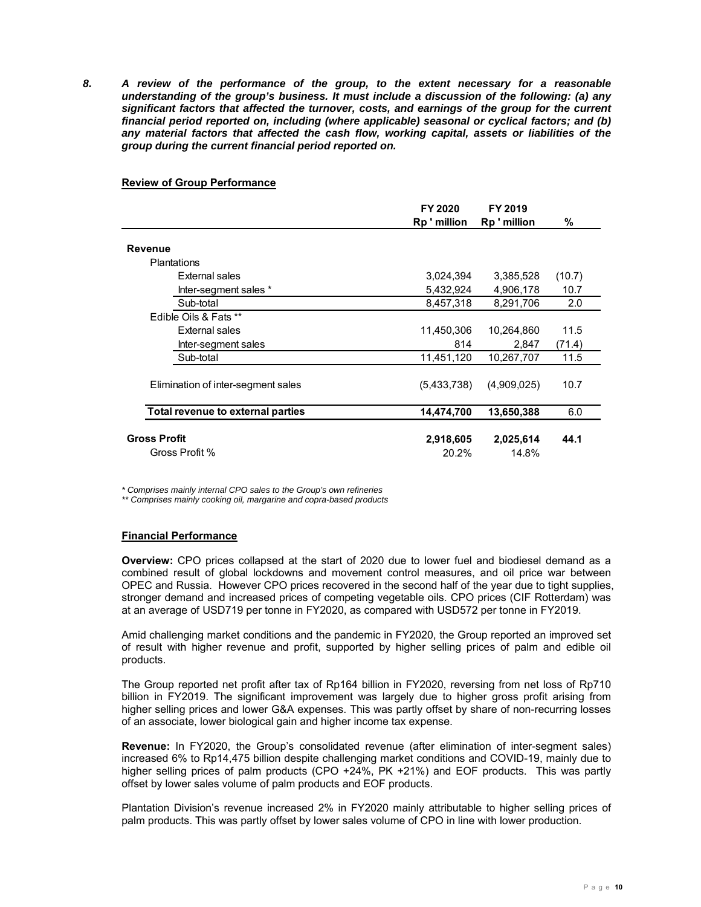*8. A review of the performance of the group, to the extent necessary for a reasonable understanding of the group's business. It must include a discussion of the following: (a) any significant factors that affected the turnover, costs, and earnings of the group for the current financial period reported on, including (where applicable) seasonal or cyclical factors; and (b) any material factors that affected the cash flow, working capital, assets or liabilities of the group during the current financial period reported on.* 

### **Review of Group Performance**

|                                       | FY 2020<br>Rp'million | FY 2019<br>Rp'million | %      |
|---------------------------------------|-----------------------|-----------------------|--------|
| Revenue                               |                       |                       |        |
| <b>Plantations</b>                    |                       |                       |        |
| <b>External sales</b>                 | 3,024,394             | 3,385,528             | (10.7) |
| Inter-segment sales *                 | 5,432,924             | 4,906,178             | 10.7   |
| Sub-total                             | 8,457,318             | 8,291,706             | 2.0    |
| Edible Oils & Fats **                 |                       |                       |        |
| <b>External sales</b>                 | 11,450,306            | 10,264,860            | 11.5   |
| Inter-segment sales                   | 814                   | 2,847                 | (71.4) |
| Sub-total                             | 11,451,120            | 10,267,707            | 11.5   |
| Elimination of inter-segment sales    | (5,433,738)           | (4,909,025)           | 10.7   |
| Total revenue to external parties     | 14,474,700            | 13,650,388            | 6.0    |
| <b>Gross Profit</b><br>Gross Profit % | 2,918,605<br>20.2%    | 2,025,614<br>14.8%    | 44.1   |

*\* Comprises mainly internal CPO sales to the Group's own refineries* 

*\*\* Comprises mainly cooking oil, margarine and copra-based products* 

# **Financial Performance**

**Overview:** CPO prices collapsed at the start of 2020 due to lower fuel and biodiesel demand as a combined result of global lockdowns and movement control measures, and oil price war between OPEC and Russia. However CPO prices recovered in the second half of the year due to tight supplies, stronger demand and increased prices of competing vegetable oils. CPO prices (CIF Rotterdam) was at an average of USD719 per tonne in FY2020, as compared with USD572 per tonne in FY2019.

Amid challenging market conditions and the pandemic in FY2020, the Group reported an improved set of result with higher revenue and profit, supported by higher selling prices of palm and edible oil products.

The Group reported net profit after tax of Rp164 billion in FY2020, reversing from net loss of Rp710 billion in FY2019. The significant improvement was largely due to higher gross profit arising from higher selling prices and lower G&A expenses. This was partly offset by share of non-recurring losses of an associate, lower biological gain and higher income tax expense.

**Revenue:** In FY2020, the Group's consolidated revenue (after elimination of inter-segment sales) increased 6% to Rp14,475 billion despite challenging market conditions and COVID-19, mainly due to higher selling prices of palm products (CPO +24%, PK +21%) and EOF products. This was partly offset by lower sales volume of palm products and EOF products.

Plantation Division's revenue increased 2% in FY2020 mainly attributable to higher selling prices of palm products. This was partly offset by lower sales volume of CPO in line with lower production.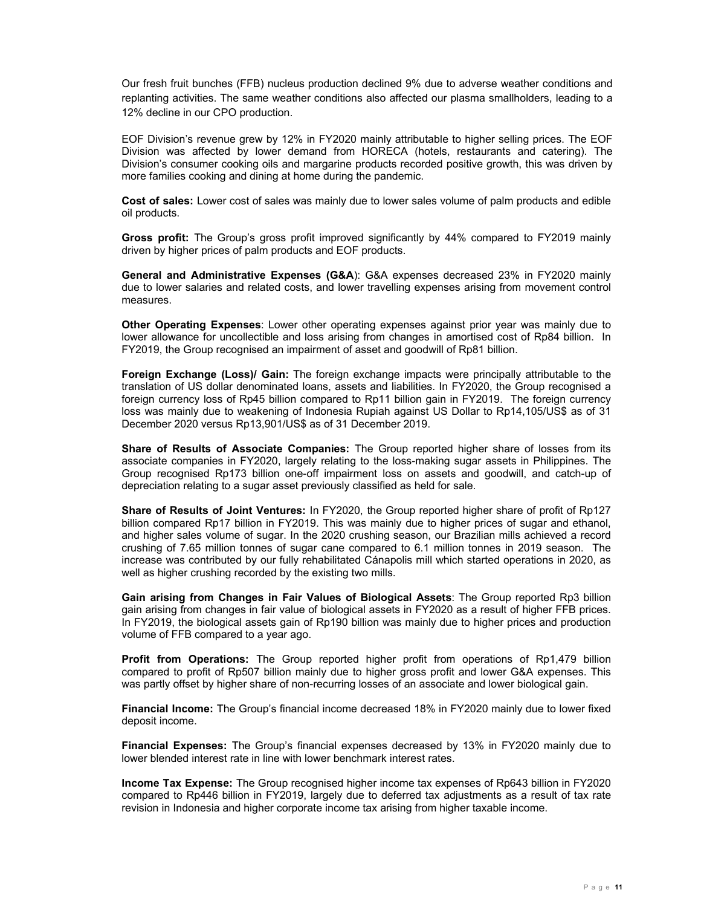Our fresh fruit bunches (FFB) nucleus production declined 9% due to adverse weather conditions and replanting activities. The same weather conditions also affected our plasma smallholders, leading to a 12% decline in our CPO production.

EOF Division's revenue grew by 12% in FY2020 mainly attributable to higher selling prices. The EOF Division was affected by lower demand from HORECA (hotels, restaurants and catering). The Division's consumer cooking oils and margarine products recorded positive growth, this was driven by more families cooking and dining at home during the pandemic.

**Cost of sales:** Lower cost of sales was mainly due to lower sales volume of palm products and edible oil products.

**Gross profit:** The Group's gross profit improved significantly by 44% compared to FY2019 mainly driven by higher prices of palm products and EOF products.

**General and Administrative Expenses (G&A**): G&A expenses decreased 23% in FY2020 mainly due to lower salaries and related costs, and lower travelling expenses arising from movement control measures.

**Other Operating Expenses**: Lower other operating expenses against prior year was mainly due to lower allowance for uncollectible and loss arising from changes in amortised cost of Rp84 billion. In FY2019, the Group recognised an impairment of asset and goodwill of Rp81 billion.

**Foreign Exchange (Loss)/ Gain:** The foreign exchange impacts were principally attributable to the translation of US dollar denominated loans, assets and liabilities. In FY2020, the Group recognised a foreign currency loss of Rp45 billion compared to Rp11 billion gain in FY2019. The foreign currency loss was mainly due to weakening of Indonesia Rupiah against US Dollar to Rp14,105/US\$ as of 31 December 2020 versus Rp13,901/US\$ as of 31 December 2019.

**Share of Results of Associate Companies:** The Group reported higher share of losses from its associate companies in FY2020, largely relating to the loss-making sugar assets in Philippines. The Group recognised Rp173 billion one-off impairment loss on assets and goodwill, and catch-up of depreciation relating to a sugar asset previously classified as held for sale.

**Share of Results of Joint Ventures:** In FY2020, the Group reported higher share of profit of Rp127 billion compared Rp17 billion in FY2019. This was mainly due to higher prices of sugar and ethanol, and higher sales volume of sugar. In the 2020 crushing season, our Brazilian mills achieved a record crushing of 7.65 million tonnes of sugar cane compared to 6.1 million tonnes in 2019 season. The increase was contributed by our fully rehabilitated Cánapolis mill which started operations in 2020, as well as higher crushing recorded by the existing two mills.

**Gain arising from Changes in Fair Values of Biological Assets**: The Group reported Rp3 billion gain arising from changes in fair value of biological assets in FY2020 as a result of higher FFB prices. In FY2019, the biological assets gain of Rp190 billion was mainly due to higher prices and production volume of FFB compared to a year ago.

**Profit from Operations:** The Group reported higher profit from operations of Rp1,479 billion compared to profit of Rp507 billion mainly due to higher gross profit and lower G&A expenses. This was partly offset by higher share of non-recurring losses of an associate and lower biological gain.

**Financial Income:** The Group's financial income decreased 18% in FY2020 mainly due to lower fixed deposit income.

**Financial Expenses:** The Group's financial expenses decreased by 13% in FY2020 mainly due to lower blended interest rate in line with lower benchmark interest rates.

**Income Tax Expense:** The Group recognised higher income tax expenses of Rp643 billion in FY2020 compared to Rp446 billion in FY2019, largely due to deferred tax adjustments as a result of tax rate revision in Indonesia and higher corporate income tax arising from higher taxable income.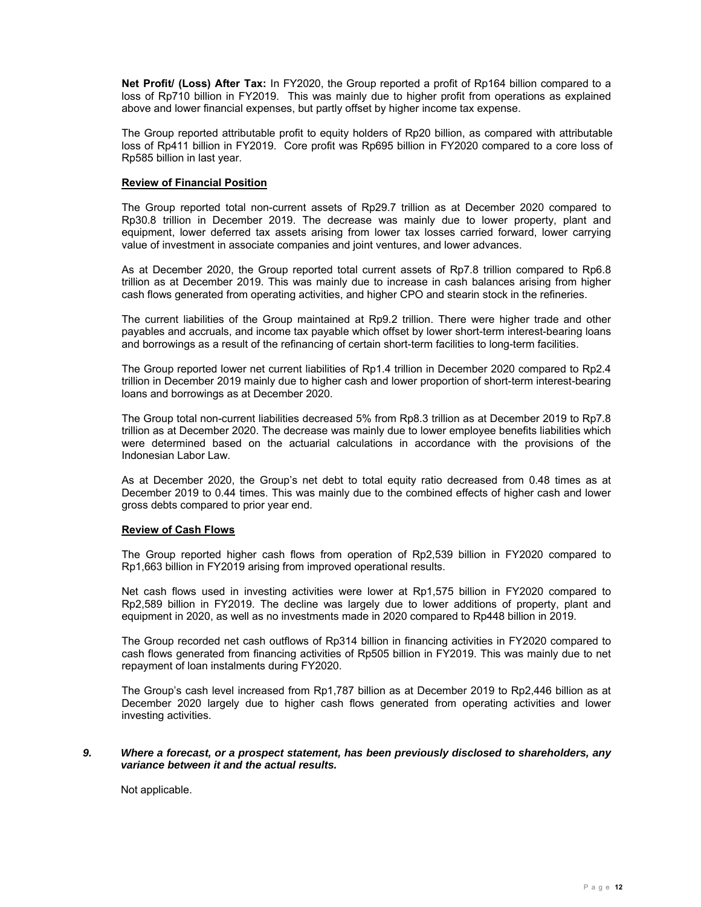**Net Profit/ (Loss) After Tax:** In FY2020, the Group reported a profit of Rp164 billion compared to a loss of Rp710 billion in FY2019. This was mainly due to higher profit from operations as explained above and lower financial expenses, but partly offset by higher income tax expense.

The Group reported attributable profit to equity holders of Rp20 billion, as compared with attributable loss of Rp411 billion in FY2019. Core profit was Rp695 billion in FY2020 compared to a core loss of Rp585 billion in last year.

### **Review of Financial Position**

The Group reported total non-current assets of Rp29.7 trillion as at December 2020 compared to Rp30.8 trillion in December 2019. The decrease was mainly due to lower property, plant and equipment, lower deferred tax assets arising from lower tax losses carried forward, lower carrying value of investment in associate companies and joint ventures, and lower advances.

As at December 2020, the Group reported total current assets of Rp7.8 trillion compared to Rp6.8 trillion as at December 2019. This was mainly due to increase in cash balances arising from higher cash flows generated from operating activities, and higher CPO and stearin stock in the refineries.

The current liabilities of the Group maintained at Rp9.2 trillion. There were higher trade and other payables and accruals, and income tax payable which offset by lower short-term interest-bearing loans and borrowings as a result of the refinancing of certain short-term facilities to long-term facilities.

The Group reported lower net current liabilities of Rp1.4 trillion in December 2020 compared to Rp2.4 trillion in December 2019 mainly due to higher cash and lower proportion of short-term interest-bearing loans and borrowings as at December 2020.

The Group total non-current liabilities decreased 5% from Rp8.3 trillion as at December 2019 to Rp7.8 trillion as at December 2020. The decrease was mainly due to lower employee benefits liabilities which were determined based on the actuarial calculations in accordance with the provisions of the Indonesian Labor Law.

As at December 2020, the Group's net debt to total equity ratio decreased from 0.48 times as at December 2019 to 0.44 times. This was mainly due to the combined effects of higher cash and lower gross debts compared to prior year end.

#### **Review of Cash Flows**

The Group reported higher cash flows from operation of Rp2,539 billion in FY2020 compared to Rp1,663 billion in FY2019 arising from improved operational results.

Net cash flows used in investing activities were lower at Rp1,575 billion in FY2020 compared to Rp2,589 billion in FY2019. The decline was largely due to lower additions of property, plant and equipment in 2020, as well as no investments made in 2020 compared to Rp448 billion in 2019.

The Group recorded net cash outflows of Rp314 billion in financing activities in FY2020 compared to cash flows generated from financing activities of Rp505 billion in FY2019. This was mainly due to net repayment of loan instalments during FY2020.

The Group's cash level increased from Rp1,787 billion as at December 2019 to Rp2,446 billion as at December 2020 largely due to higher cash flows generated from operating activities and lower investing activities.

# *9. Where a forecast, or a prospect statement, has been previously disclosed to shareholders, any variance between it and the actual results.*

Not applicable.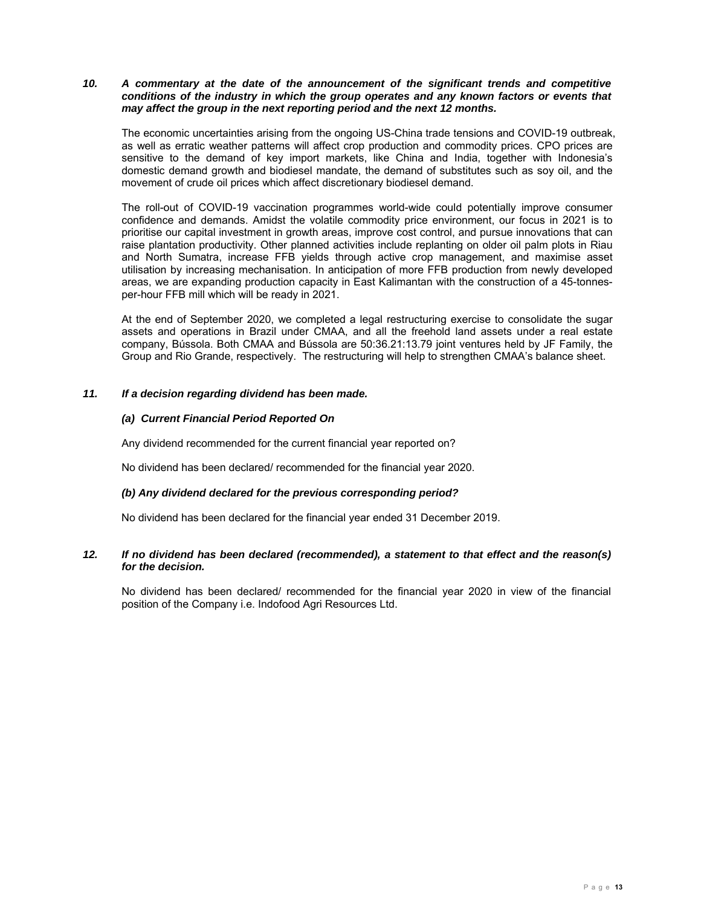### *10. A commentary at the date of the announcement of the significant trends and competitive conditions of the industry in which the group operates and any known factors or events that may affect the group in the next reporting period and the next 12 months.*

The economic uncertainties arising from the ongoing US-China trade tensions and COVID-19 outbreak, as well as erratic weather patterns will affect crop production and commodity prices. CPO prices are sensitive to the demand of key import markets, like China and India, together with Indonesia's domestic demand growth and biodiesel mandate, the demand of substitutes such as soy oil, and the movement of crude oil prices which affect discretionary biodiesel demand.

The roll-out of COVID-19 vaccination programmes world-wide could potentially improve consumer confidence and demands. Amidst the volatile commodity price environment, our focus in 2021 is to prioritise our capital investment in growth areas, improve cost control, and pursue innovations that can raise plantation productivity. Other planned activities include replanting on older oil palm plots in Riau and North Sumatra, increase FFB yields through active crop management, and maximise asset utilisation by increasing mechanisation. In anticipation of more FFB production from newly developed areas, we are expanding production capacity in East Kalimantan with the construction of a 45-tonnesper-hour FFB mill which will be ready in 2021.

At the end of September 2020, we completed a legal restructuring exercise to consolidate the sugar assets and operations in Brazil under CMAA, and all the freehold land assets under a real estate company, Bússola. Both CMAA and Bússola are 50:36.21:13.79 joint ventures held by JF Family, the Group and Rio Grande, respectively. The restructuring will help to strengthen CMAA's balance sheet.

# *11. If a decision regarding dividend has been made.*

# *(a) Current Financial Period Reported On*

Any dividend recommended for the current financial year reported on?

No dividend has been declared/ recommended for the financial year 2020.

#### *(b) Any dividend declared for the previous corresponding period?*

No dividend has been declared for the financial year ended 31 December 2019.

# *12. If no dividend has been declared (recommended), a statement to that effect and the reason(s) for the decision.*

No dividend has been declared/ recommended for the financial year 2020 in view of the financial position of the Company i.e. Indofood Agri Resources Ltd.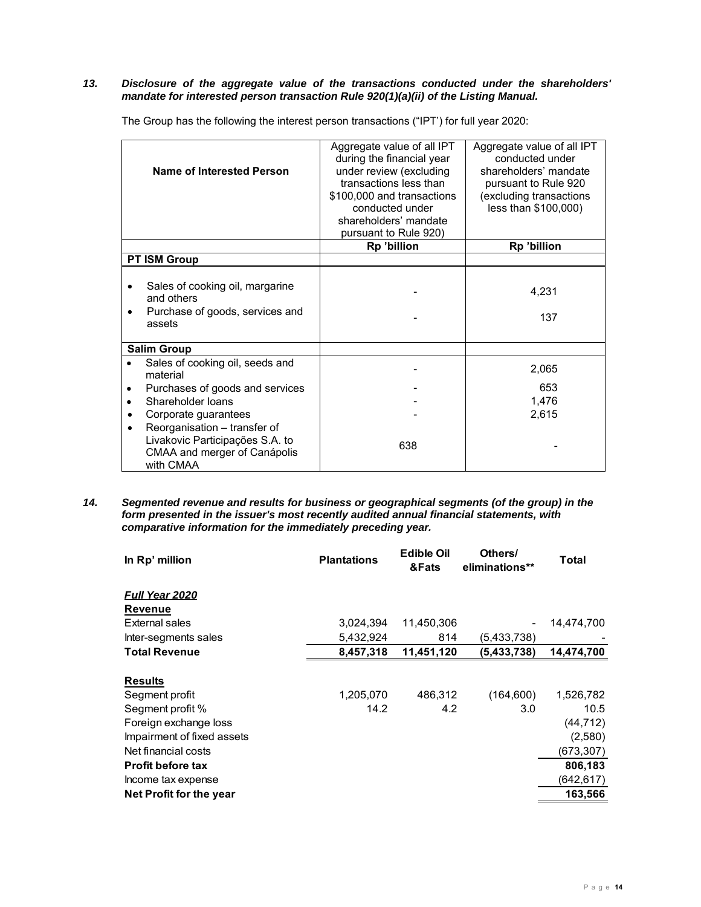### *13. Disclosure of the aggregate value of the transactions conducted under the shareholders' mandate for interested person transaction Rule 920(1)(a)(ii) of the Listing Manual.*

The Group has the following the interest person transactions ("IPT') for full year 2020:

|           | Name of Interested Person                                                                                    | Aggregate value of all IPT<br>during the financial year<br>under review (excluding<br>transactions less than<br>\$100,000 and transactions<br>conducted under<br>shareholders' mandate<br>pursuant to Rule 920) | Aggregate value of all IPT<br>conducted under<br>shareholders' mandate<br>pursuant to Rule 920<br>(excluding transactions<br>less than \$100,000) |
|-----------|--------------------------------------------------------------------------------------------------------------|-----------------------------------------------------------------------------------------------------------------------------------------------------------------------------------------------------------------|---------------------------------------------------------------------------------------------------------------------------------------------------|
|           |                                                                                                              | Rp 'billion                                                                                                                                                                                                     | Rp 'billion                                                                                                                                       |
|           | <b>PT ISM Group</b>                                                                                          |                                                                                                                                                                                                                 |                                                                                                                                                   |
|           | Sales of cooking oil, margarine<br>and others<br>Purchase of goods, services and<br>assets                   |                                                                                                                                                                                                                 | 4,231<br>137                                                                                                                                      |
|           | <b>Salim Group</b>                                                                                           |                                                                                                                                                                                                                 |                                                                                                                                                   |
|           | Sales of cooking oil, seeds and<br>material                                                                  |                                                                                                                                                                                                                 | 2,065                                                                                                                                             |
|           | Purchases of goods and services                                                                              |                                                                                                                                                                                                                 | 653                                                                                                                                               |
| $\bullet$ | Shareholder loans                                                                                            |                                                                                                                                                                                                                 | 1,476                                                                                                                                             |
| ٠         | Corporate guarantees                                                                                         |                                                                                                                                                                                                                 | 2,615                                                                                                                                             |
| ٠         | Reorganisation - transfer of<br>Livakovic Participações S.A. to<br>CMAA and merger of Canápolis<br>with CMAA | 638                                                                                                                                                                                                             |                                                                                                                                                   |

#### *14. Segmented revenue and results for business or geographical segments (of the group) in the form presented in the issuer's most recently audited annual financial statements, with comparative information for the immediately preceding year.*

| In Rp' million                                                                                                                                                                       | <b>Plantations</b> | <b>Edible Oil</b><br>&Fats | Others/<br>eliminations** | Total                                                                           |
|--------------------------------------------------------------------------------------------------------------------------------------------------------------------------------------|--------------------|----------------------------|---------------------------|---------------------------------------------------------------------------------|
| <b>Full Year 2020</b><br><b>Revenue</b>                                                                                                                                              |                    |                            |                           |                                                                                 |
| External sales                                                                                                                                                                       | 3,024,394          | 11,450,306                 |                           | 14,474,700                                                                      |
| Inter-segments sales                                                                                                                                                                 | 5,432,924          | 814                        | (5,433,738)               |                                                                                 |
| <b>Total Revenue</b>                                                                                                                                                                 | 8,457,318          | 11,451,120                 | (5,433,738)               | 14,474,700                                                                      |
| <b>Results</b><br>Segment profit<br>Segment profit %<br>Foreign exchange loss<br>Impairment of fixed assets<br>Net financial costs<br><b>Profit before tax</b><br>Income tax expense | 1,205,070<br>14.2  | 486,312<br>4.2             | (164, 600)<br>3.0         | 1,526,782<br>10.5<br>(44, 712)<br>(2,580)<br>(673, 307)<br>806,183<br>(642,617) |
| Net Profit for the year                                                                                                                                                              |                    |                            |                           | 163,566                                                                         |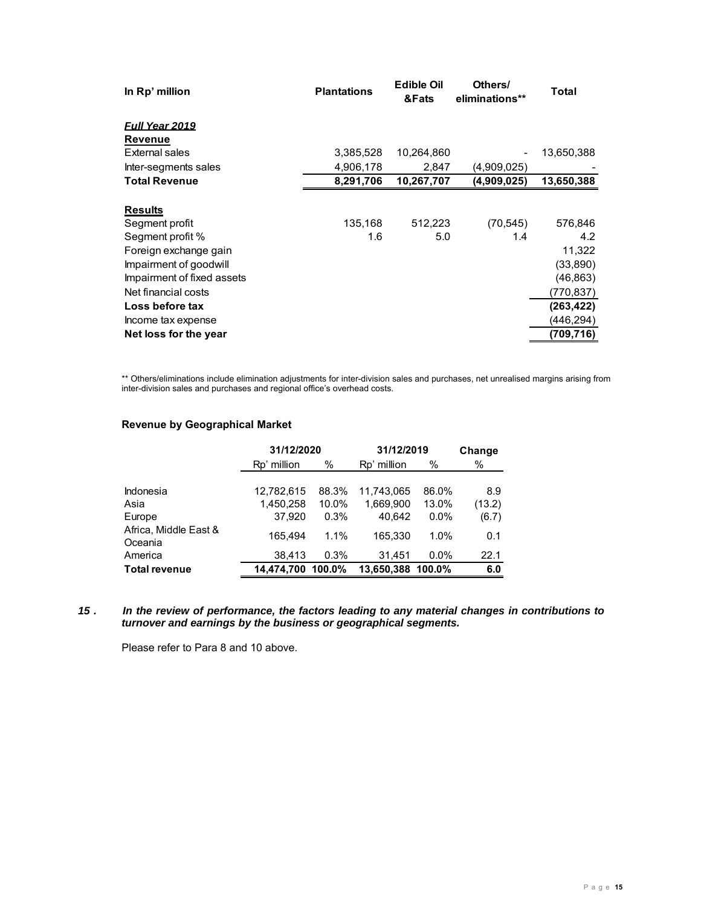| In Rp' million             | <b>Plantations</b> | <b>Edible Oil</b><br>&Fats | Others/<br>eliminations** | Total      |
|----------------------------|--------------------|----------------------------|---------------------------|------------|
| <b>Full Year 2019</b>      |                    |                            |                           |            |
| <b>Revenue</b>             |                    |                            |                           |            |
| External sales             | 3,385,528          | 10,264,860                 |                           | 13,650,388 |
| Inter-segments sales       | 4,906,178          | 2,847                      | (4,909,025)               |            |
| <b>Total Revenue</b>       | 8,291,706          | 10,267,707                 | (4,909,025)               | 13,650,388 |
| <b>Results</b>             |                    |                            |                           |            |
| Segment profit             | 135,168            | 512,223                    | (70, 545)                 | 576,846    |
| Segment profit %           | 1.6                | 5.0                        | 1.4                       | 4.2        |
| Foreign exchange gain      |                    |                            |                           | 11,322     |
| Impairment of goodwill     |                    |                            |                           | (33,890)   |
| Impairment of fixed assets |                    |                            |                           | (46, 863)  |
| Net financial costs        |                    |                            |                           | (770,837)  |
| Loss before tax            |                    |                            |                           | (263,422)  |
| Income tax expense         |                    |                            |                           | (446,294)  |
| Net loss for the year      |                    |                            |                           | (709,716)  |

\*\* Others/eliminations include elimination adjustments for inter-division sales and purchases, net unrealised margins arising from inter-division sales and purchases and regional office's overhead costs.

# **Revenue by Geographical Market**

|                       | 31/12/2020  |        | 31/12/2019        |         | Change |
|-----------------------|-------------|--------|-------------------|---------|--------|
|                       | Rp' million | ℅      | Rp' million       | %       | %      |
|                       |             |        |                   |         |        |
| <b>Indonesia</b>      | 12,782,615  | 88.3%  | 11.743.065        | 86.0%   | 8.9    |
| Asia                  | 1,450,258   | 10.0%  | 1,669,900         | 13.0%   | (13.2) |
| Europe                | 37,920      | 0.3%   | 40.642            | $0.0\%$ | (6.7)  |
| Africa, Middle East & | 165.494     | 1.1%   | 165.330           | 1.0%    | 0.1    |
| Oceania               |             |        |                   |         |        |
| America               | 38,413      | 0.3%   | 31.451            | $0.0\%$ | 22.1   |
| <b>Total revenue</b>  | 14.474.700  | 100.0% | 13,650,388 100.0% |         | 6.0    |

*15 . In the review of performance, the factors leading to any material changes in contributions to turnover and earnings by the business or geographical segments.* 

Please refer to Para 8 and 10 above.